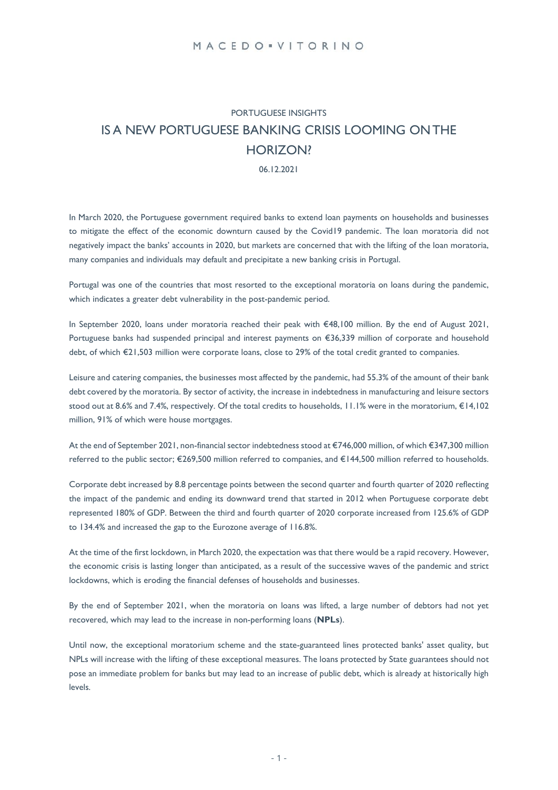# PORTUGUESE INSIGHTS IS A NEW PORTUGUESE BANKING CRISIS LOOMING ONTHE HORIZON?

06.12.2021

In March 2020, the Portuguese government required banks to extend loan payments on households and businesses to mitigate the effect of the economic downturn caused by the Covid19 pandemic. The loan moratoria did not negatively impact the banks' accounts in 2020, but markets are concerned that with the lifting of the loan moratoria, many companies and individuals may default and precipitate a new banking crisis in Portugal.

Portugal was one of the countries that most resorted to the exceptional moratoria on loans during the pandemic, which indicates a greater debt vulnerability in the post-pandemic period.

In September 2020, loans under moratoria reached their peak with €48,100 million. By the end of August 2021, Portuguese banks had suspended principal and interest payments on €36,339 million of corporate and household debt, of which €21,503 million were corporate loans, close to 29% of the total credit granted to companies.

Leisure and catering companies, the businesses most affected by the pandemic, had 55.3% of the amount of their bank debt covered by the moratoria. By sector of activity, the increase in indebtedness in manufacturing and leisure sectors stood out at 8.6% and 7.4%, respectively. Of the total credits to households, 11.1% were in the moratorium, €14,102 million, 91% of which were house mortgages.

At the end of September 2021, non-financial sector indebtedness stood at €746,000 million, of which €347,300 million referred to the public sector; €269,500 million referred to companies, and €144,500 million referred to households.

Corporate debt increased by 8.8 percentage points between the second quarter and fourth quarter of 2020 reflecting the impact of the pandemic and ending its downward trend that started in 2012 when Portuguese corporate debt represented 180% of GDP. Between the third and fourth quarter of 2020 corporate increased from 125.6% of GDP to 134.4% and increased the gap to the Eurozone average of 116.8%.

At the time of the first lockdown, in March 2020, the expectation was that there would be a rapid recovery. However, the economic crisis is lasting longer than anticipated, as a result of the successive waves of the pandemic and strict lockdowns, which is eroding the financial defenses of households and businesses.

By the end of September 2021, when the moratoria on loans was lifted, a large number of debtors had not yet recovered, which may lead to the increase in non-performing loans (**NPLs**).

Until now, the exceptional moratorium scheme and the state-guaranteed lines protected banks' asset quality, but NPLs will increase with the lifting of these exceptional measures. The loans protected by State guarantees should not pose an immediate problem for banks but may lead to an increase of public debt, which is already at historically high levels.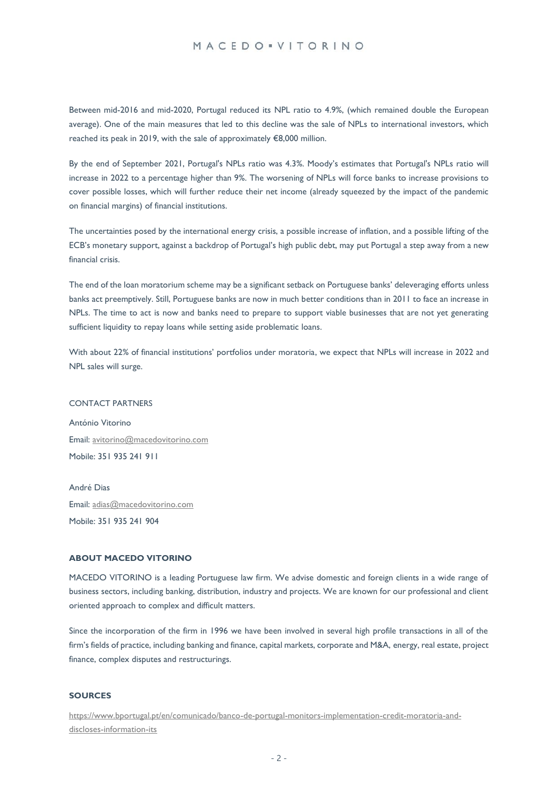## MACEDO · VITORINO

Between mid-2016 and mid-2020, Portugal reduced its NPL ratio to 4.9%, (which remained double the European average). One of the main measures that led to this decline was the sale of NPLs to international investors, which reached its peak in 2019, with the sale of approximately €8,000 million.

By the end of September 2021, Portugal's NPLs ratio was 4.3%. Moody's estimates that Portugal's NPLs ratio will increase in 2022 to a percentage higher than 9%. The worsening of NPLs will force banks to increase provisions to cover possible losses, which will further reduce their net income (already squeezed by the impact of the pandemic on financial margins) of financial institutions.

The uncertainties posed by the international energy crisis, a possible increase of inflation, and a possible lifting of the ECB's monetary support, against a backdrop of Portugal's high public debt, may put Portugal a step away from a new financial crisis.

The end of the loan moratorium scheme may be a significant setback on Portuguese banks' deleveraging efforts unless banks act preemptively. Still, Portuguese banks are now in much better conditions than in 2011 to face an increase in NPLs. The time to act is now and banks need to prepare to support viable businesses that are not yet generating sufficient liquidity to repay loans while setting aside problematic loans.

With about 22% of financial institutions' portfolios under moratoria, we expect that NPLs will increase in 2022 and NPL sales will surge.

#### CONTACT PARTNERS

António Vitorino Email[: avitorino@macedovitorino.com](mailto:avitorino@macedovitorino.com) Mobile: 351 935 241 911

André Dias Email[: adias@macedovitorino.com](mailto:adias@macedovitorino.com) Mobile: 351 935 241 904

#### **ABOUT MACEDO VITORINO**

MACEDO VITORINO is a leading Portuguese law firm. We advise domestic and foreign clients in a wide range of business sectors, including banking, distribution, industry and projects. We are known for our professional and client oriented approach to complex and difficult matters.

Since the incorporation of the firm in 1996 we have been involved in several high profile transactions in all of the firm's fields of practice, including banking and finance, capital markets, corporate and M&A, energy, real estate, project finance, complex disputes and restructurings.

#### **SOURCES**

[https://www.bportugal.pt/en/comunicado/banco-de-portugal-monitors-implementation-credit-moratoria-and](https://www.bportugal.pt/en/comunicado/banco-de-portugal-monitors-implementation-credit-moratoria-and-discloses-information-its)[discloses-information-its](https://www.bportugal.pt/en/comunicado/banco-de-portugal-monitors-implementation-credit-moratoria-and-discloses-information-its)